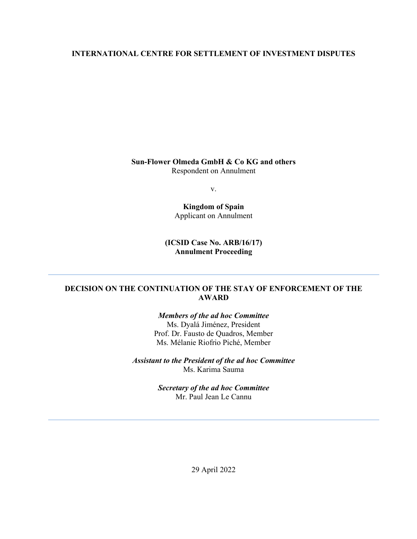# **INTERNATIONAL CENTRE FOR SETTLEMENT OF INVESTMENT DISPUTES**

**Sun-Flower Olmeda GmbH & Co KG and others** Respondent on Annulment

v.

**Kingdom of Spain** Applicant on Annulment

**(ICSID Case No. ARB/16/17) Annulment Proceeding**

# **DECISION ON THE CONTINUATION OF THE STAY OF ENFORCEMENT OF THE AWARD**

*Members of the ad hoc Committee* Ms. Dyalá Jiménez, President Prof. Dr. Fausto de Quadros, Member Ms. Mélanie Riofrio Piché, Member

*Assistant to the President of the ad hoc Committee* Ms. Karima Sauma

> *Secretary of the ad hoc Committee* Mr. Paul Jean Le Cannu

> > 29 April 2022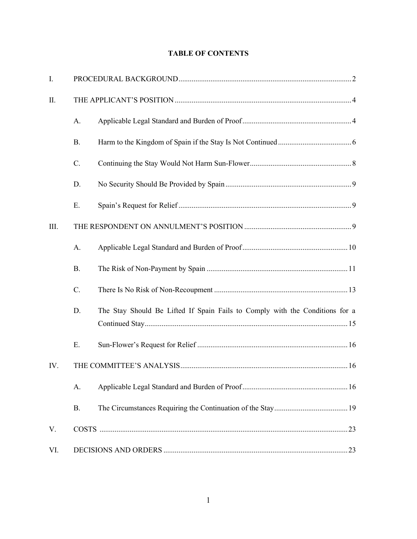# **TABLE OF CONTENTS**

| I.   |           |                                                                              |
|------|-----------|------------------------------------------------------------------------------|
| II.  |           |                                                                              |
|      | A.        |                                                                              |
|      | <b>B.</b> |                                                                              |
|      | C.        |                                                                              |
|      | D.        |                                                                              |
|      | Ε.        |                                                                              |
| III. |           |                                                                              |
|      | A.        |                                                                              |
|      | <b>B.</b> |                                                                              |
|      | C.        |                                                                              |
|      | D.        | The Stay Should Be Lifted If Spain Fails to Comply with the Conditions for a |
|      | Ε.        |                                                                              |
| IV.  |           |                                                                              |
|      | A.        |                                                                              |
|      | <b>B.</b> |                                                                              |
| V.   |           |                                                                              |
| VI.  |           |                                                                              |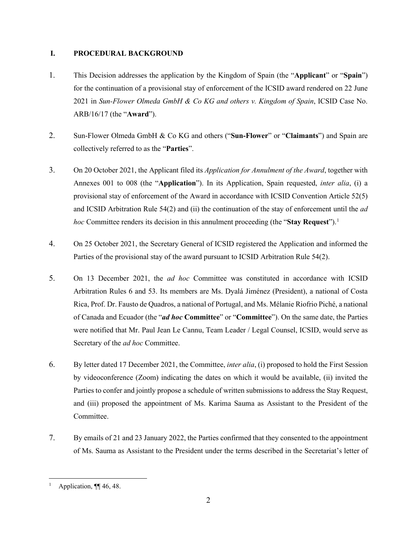# <span id="page-2-0"></span>**I. PROCEDURAL BACKGROUND**

- 1. This Decision addresses the application by the Kingdom of Spain (the "**Applicant**" or "**Spain**") for the continuation of a provisional stay of enforcement of the ICSID award rendered on 22 June 2021 in *Sun-Flower Olmeda GmbH & Co KG and others v. Kingdom of Spain*, ICSID Case No. ARB/16/17 (the "**Award**").
- 2. Sun-Flower Olmeda GmbH & Co KG and others ("**Sun-Flower**" or "**Claimants**") and Spain are collectively referred to as the "**Parties**".
- 3. On 20 October 2021, the Applicant filed its *Application for Annulment of the Award*, together with Annexes 001 to 008 (the "**Application**"). In its Application, Spain requested, *inter alia*, (i) a provisional stay of enforcement of the Award in accordance with ICSID Convention Article 52(5) and ICSID Arbitration Rule 54(2) and (ii) the continuation of the stay of enforcement until the *ad hoc* Committee renders its decision in this annulment proceeding (the "**Stay Request**"). [1](#page-2-1)
- 4. On 25 October 2021, the Secretary General of ICSID registered the Application and informed the Parties of the provisional stay of the award pursuant to ICSID Arbitration Rule 54(2).
- 5. On 13 December 2021, the *ad hoc* Committee was constituted in accordance with ICSID Arbitration Rules 6 and 53. Its members are Ms. Dyalá Jiménez (President), a national of Costa Rica, Prof. Dr. Fausto de Quadros, a national of Portugal, and Ms. Mélanie Riofrio Piché, a national of Canada and Ecuador (the "*ad hoc* **Committee**" or "**Committee**"). On the same date, the Parties were notified that Mr. Paul Jean Le Cannu, Team Leader / Legal Counsel, ICSID, would serve as Secretary of the *ad hoc* Committee.
- 6. By letter dated 17 December 2021, the Committee, *inter alia*, (i) proposed to hold the First Session by videoconference (Zoom) indicating the dates on which it would be available, (ii) invited the Parties to confer and jointly propose a schedule of written submissions to address the Stay Request, and (iii) proposed the appointment of Ms. Karima Sauma as Assistant to the President of the Committee.
- 7. By emails of 21 and 23 January 2022, the Parties confirmed that they consented to the appointment of Ms. Sauma as Assistant to the President under the terms described in the Secretariat's letter of

<span id="page-2-1"></span>Application, ¶¶ 46, 48.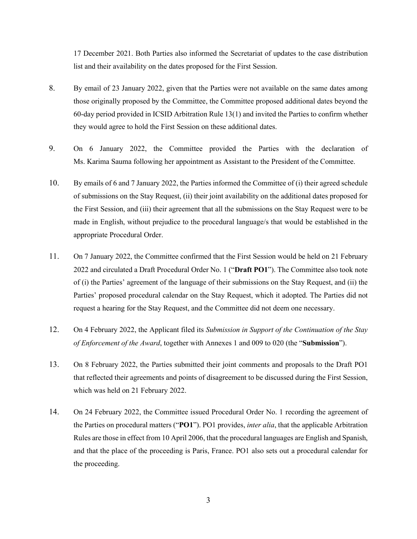17 December 2021. Both Parties also informed the Secretariat of updates to the case distribution list and their availability on the dates proposed for the First Session.

- 8. By email of 23 January 2022, given that the Parties were not available on the same dates among those originally proposed by the Committee, the Committee proposed additional dates beyond the 60-day period provided in ICSID Arbitration Rule 13(1) and invited the Parties to confirm whether they would agree to hold the First Session on these additional dates.
- 9. On 6 January 2022, the Committee provided the Parties with the declaration of Ms. Karima Sauma following her appointment as Assistant to the President of the Committee.
- 10. By emails of 6 and 7 January 2022, the Parties informed the Committee of (i) their agreed schedule of submissions on the Stay Request, (ii) their joint availability on the additional dates proposed for the First Session, and (iii) their agreement that all the submissions on the Stay Request were to be made in English, without prejudice to the procedural language/s that would be established in the appropriate Procedural Order.
- <span id="page-3-0"></span>11. On 7 January 2022, the Committee confirmed that the First Session would be held on 21 February 2022 and circulated a Draft Procedural Order No. 1 ("**Draft PO1**"). The Committee also took note of (i) the Parties' agreement of the language of their submissions on the Stay Request, and (ii) the Parties' proposed procedural calendar on the Stay Request, which it adopted. The Parties did not request a hearing for the Stay Request, and the Committee did not deem one necessary.
- 12. On 4 February 2022, the Applicant filed its *Submission in Support of the Continuation of the Stay of Enforcement of the Award*, together with Annexes 1 and 009 to 020 (the "**Submission**").
- 13. On 8 February 2022, the Parties submitted their joint comments and proposals to the Draft PO1 that reflected their agreements and points of disagreement to be discussed during the First Session, which was held on 21 February 2022.
- 14. On 24 February 2022, the Committee issued Procedural Order No. 1 recording the agreement of the Parties on procedural matters ("**PO1**"). PO1 provides, *inter alia*, that the applicable Arbitration Rules are those in effect from 10 April 2006, that the procedural languages are English and Spanish, and that the place of the proceeding is Paris, France. PO1 also sets out a procedural calendar for the proceeding.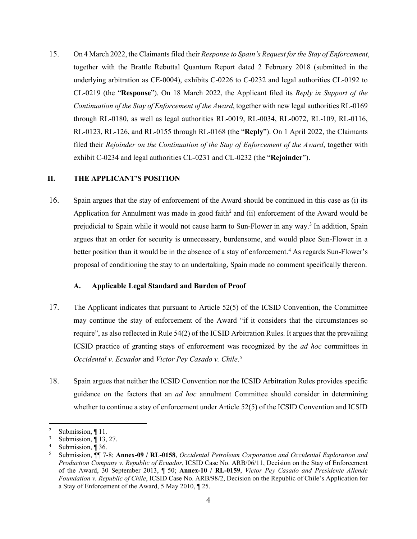15. On 4 March 2022, the Claimants filed their *Response to Spain's Request for the Stay of Enforcement*, together with the Brattle Rebuttal Quantum Report dated 2 February 2018 (submitted in the underlying arbitration as CE-0004), exhibits C-0226 to C-0232 and legal authorities CL-0192 to CL-0219 (the "**Response**"). On 18 March 2022, the Applicant filed its *Reply in Support of the Continuation of the Stay of Enforcement of the Award*, together with new legal authorities RL-0169 through RL-0180, as well as legal authorities RL-0019, RL-0034, RL-0072, RL-109, RL-0116, RL-0123, RL-126, and RL-0155 through RL-0168 (the "**Reply**"). On 1 April 2022, the Claimants filed their *Rejoinder on the Continuation of the Stay of Enforcement of the Award*, together with exhibit C-0234 and legal authorities CL-0231 and CL-0232 (the "**Rejoinder**").

#### <span id="page-4-0"></span>**II. THE APPLICANT'S POSITION**

16. Spain argues that the stay of enforcement of the Award should be continued in this case as (i) its Application for Annulment was made in good faith<sup>[2](#page-4-2)</sup> and (ii) enforcement of the Award would be prejudicial to Spain while it would not cause harm to Sun-Flower in any way.[3](#page-4-3) In addition, Spain argues that an order for security is unnecessary, burdensome, and would place Sun-Flower in a better position than it would be in the absence of a stay of enforcement. [4](#page-4-4) As regards Sun-Flower's proposal of conditioning the stay to an undertaking, Spain made no comment specifically thereon.

# **A. Applicable Legal Standard and Burden of Proof**

- <span id="page-4-1"></span>17. The Applicant indicates that pursuant to Article 52(5) of the ICSID Convention, the Committee may continue the stay of enforcement of the Award "if it considers that the circumstances so require", as also reflected in Rule 54(2) of the ICSID Arbitration Rules. It argues that the prevailing ICSID practice of granting stays of enforcement was recognized by the *ad hoc* committees in *Occidental v. Ecuador* and *Victor Pey Casado v. Chile*. [5](#page-4-5)
- 18. Spain argues that neither the ICSID Convention nor the ICSID Arbitration Rules provides specific guidance on the factors that an *ad hoc* annulment Committee should consider in determining whether to continue a stay of enforcement under Article 52(5) of the ICSID Convention and ICSID

<span id="page-4-3"></span><span id="page-4-2"></span><sup>&</sup>lt;sup>2</sup> Submission,  $\P$  11.

Submission, ¶ 13, 27.

<span id="page-4-4"></span>Submission, ¶ 36.

<span id="page-4-5"></span><sup>5</sup> Submission, ¶¶ 7-8; **Annex-09 / RL-0158**, *Occidental Petroleum Corporation and Occidental Exploration and Production Company v. Republic of Ecuador*, ICSID Case No. ARB/06/11, Decision on the Stay of Enforcement of the Award, 30 September 2013, ¶ 50; **Annex-10 / RL-0159**, *Víctor Pey Casado and Presidente Allende Foundation v. Republic of Chile*, ICSID Case No. ARB/98/2, Decision on the Republic of Chile's Application for a Stay of Enforcement of the Award, 5 May 2010, ¶ 25.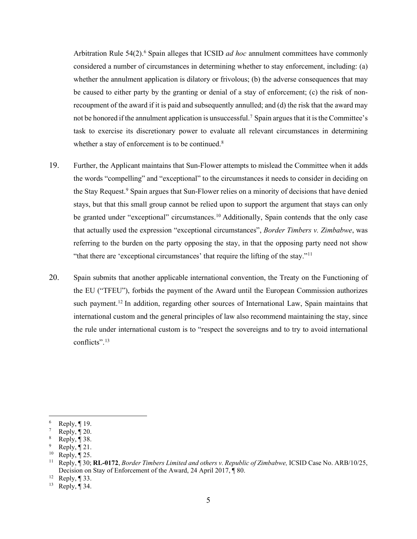Arbitration Rule 54(2).<sup>[6](#page-5-0)</sup> Spain alleges that ICSID *ad hoc* annulment committees have commonly considered a number of circumstances in determining whether to stay enforcement, including: (a) whether the annulment application is dilatory or frivolous; (b) the adverse consequences that may be caused to either party by the granting or denial of a stay of enforcement; (c) the risk of nonrecoupment of the award if it is paid and subsequently annulled; and (d) the risk that the award may not be honored if the annulment application is unsuccessful.<sup>[7](#page-5-1)</sup> Spain argues that it is the Committee's task to exercise its discretionary power to evaluate all relevant circumstances in determining whether a stay of enforcement is to be continued.<sup>[8](#page-5-2)</sup>

- 19. Further, the Applicant maintains that Sun-Flower attempts to mislead the Committee when it adds the words "compelling" and "exceptional" to the circumstances it needs to consider in deciding on the Stay Request.<sup>[9](#page-5-3)</sup> Spain argues that Sun-Flower relies on a minority of decisions that have denied stays, but that this small group cannot be relied upon to support the argument that stays can only be granted under "exceptional" circumstances.<sup>[10](#page-5-4)</sup> Additionally, Spain contends that the only case that actually used the expression "exceptional circumstances", *Border Timbers v. Zimbabwe*, was referring to the burden on the party opposing the stay, in that the opposing party need not show "that there are 'exceptional circumstances' that require the lifting of the stay."[11](#page-5-5)
- 20. Spain submits that another applicable international convention, the Treaty on the Functioning of the EU ("TFEU"), forbids the payment of the Award until the European Commission authorizes such payment.<sup>[12](#page-5-6)</sup> In addition, regarding other sources of International Law, Spain maintains that international custom and the general principles of law also recommend maintaining the stay, since the rule under international custom is to "respect the sovereigns and to try to avoid international conflicts".[13](#page-5-7)

<span id="page-5-0"></span> $\frac{6}{7}$  Reply,  $\boxed{19}$ .

<span id="page-5-1"></span> $\frac{7}{8}$  Reply,  $\boxed{20}$ .

<span id="page-5-2"></span>Reply,  $\P$  38.

<span id="page-5-3"></span>Reply,  $\P$  21.

<span id="page-5-4"></span> $^{10}$  Reply,  $\P$  25.

<span id="page-5-5"></span><sup>11</sup> Reply, ¶ 30; **RL-0172**, *Border Timbers Limited and others v. Republic of Zimbabwe,* ICSID Case No. ARB/10/25, Decision on Stay of Enforcement of the Award, 24 April 2017, ¶ 80.<br><sup>12</sup> Reply, ¶ 33.<br><sup>13</sup> Reply ¶ 34.

<span id="page-5-7"></span><span id="page-5-6"></span>

Reply,  $\P$  34.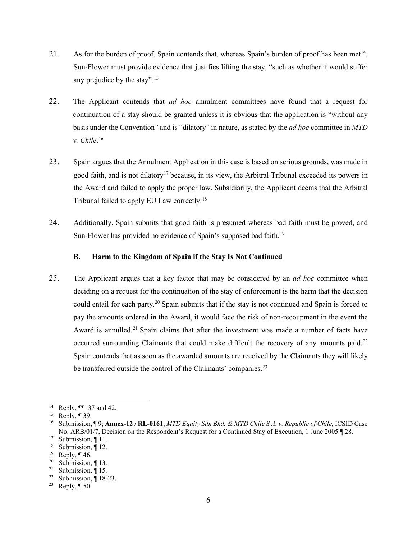- 21. As for the burden of proof, Spain contends that, whereas Spain's burden of proof has been met<sup>[14](#page-6-1)</sup>, Sun-Flower must provide evidence that justifies lifting the stay, "such as whether it would suffer any prejudice by the stay".<sup>[15](#page-6-2)</sup>
- 22. The Applicant contends that *ad hoc* annulment committees have found that a request for continuation of a stay should be granted unless it is obvious that the application is "without any basis under the Convention" and is "dilatory" in nature, as stated by the *ad hoc* committee in *MTD v. Chile*. [16](#page-6-3)
- 23. Spain argues that the Annulment Application in this case is based on serious grounds, was made in good faith, and is not dilatory<sup>17</sup> because, in its view, the Arbitral Tribunal exceeded its powers in the Award and failed to apply the proper law. Subsidiarily, the Applicant deems that the Arbitral Tribunal failed to apply EU Law correctly.<sup>[18](#page-6-5)</sup>
- 24. Additionally, Spain submits that good faith is presumed whereas bad faith must be proved, and Sun-Flower has provided no evidence of Spain's supposed bad faith.<sup>[19](#page-6-6)</sup>

## **B. Harm to the Kingdom of Spain if the Stay Is Not Continued**

<span id="page-6-0"></span>25. The Applicant argues that a key factor that may be considered by an *ad hoc* committee when deciding on a request for the continuation of the stay of enforcement is the harm that the decision could entail for each party.<sup>[20](#page-6-7)</sup> Spain submits that if the stay is not continued and Spain is forced to pay the amounts ordered in the Award, it would face the risk of non-recoupment in the event the Award is annulled.<sup>[21](#page-6-8)</sup> Spain claims that after the investment was made a number of facts have occurred surrounding Claimants that could make difficult the recovery of any amounts paid.<sup>[22](#page-6-9)</sup> Spain contends that as soon as the awarded amounts are received by the Claimants they will likely be transferred outside the control of the Claimants' companies.<sup>[23](#page-6-10)</sup>

<span id="page-6-1"></span><sup>14</sup> Reply, ¶¶ 37 and 42.

<span id="page-6-2"></span><sup>&</sup>lt;sup>15</sup> Reply,  $\P$  39.

<span id="page-6-3"></span><sup>16</sup> Submission, ¶ 9; **Annex-12 / RL-0161**, *MTD Equity Sdn Bhd. & MTD Chile S.A. v. Republic of Chile,* ICSID Case No. ARB/01/7, Decision on the Respondent's Request for a Continued Stay of Execution, 1 June 2005 ¶ 28.

<span id="page-6-4"></span><sup>&</sup>lt;sup>17</sup> Submission, ¶ 11.

<span id="page-6-5"></span><sup>&</sup>lt;sup>18</sup> Submission,  $\P$  12.<br><sup>19</sup> Reply  $\P$  46

<span id="page-6-6"></span>Reply,  $\P$  46.

<span id="page-6-7"></span><sup>&</sup>lt;sup>20</sup> Submission,  $\P$  13.<br><sup>21</sup> Submission  $\P$  15

<span id="page-6-8"></span>Submission, ¶ 15.

<span id="page-6-9"></span><sup>&</sup>lt;sup>22</sup> Submission,  $\P$  18-23.<br><sup>23</sup> Reply  $\P$  50

<span id="page-6-10"></span>Reply,  $\P$  50.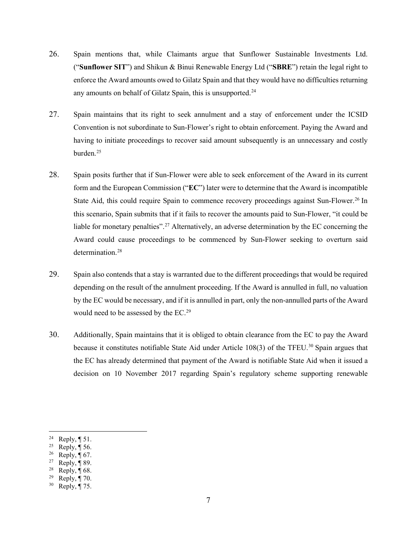- 26. Spain mentions that, while Claimants argue that Sunflower Sustainable Investments Ltd. ("**Sunflower SIT**") and Shikun & Binui Renewable Energy Ltd ("**SBRE**") retain the legal right to enforce the Award amounts owed to Gilatz Spain and that they would have no difficulties returning any amounts on behalf of Gilatz Spain, this is unsupported.<sup>[24](#page-7-0)</sup>
- 27. Spain maintains that its right to seek annulment and a stay of enforcement under the ICSID Convention is not subordinate to Sun-Flower's right to obtain enforcement. Paying the Award and having to initiate proceedings to recover said amount subsequently is an unnecessary and costly burden. $25$
- 28. Spain posits further that if Sun-Flower were able to seek enforcement of the Award in its current form and the European Commission ("**EC**") later were to determine that the Award is incompatible State Aid, this could require Spain to commence recovery proceedings against Sun-Flower.<sup>[26](#page-7-2)</sup> In this scenario, Spain submits that if it fails to recover the amounts paid to Sun-Flower, "it could be liable for monetary penalties".<sup>[27](#page-7-3)</sup> Alternatively, an adverse determination by the EC concerning the Award could cause proceedings to be commenced by Sun-Flower seeking to overturn said determination.<sup>[28](#page-7-4)</sup>
- 29. Spain also contends that a stay is warranted due to the different proceedings that would be required depending on the result of the annulment proceeding. If the Award is annulled in full, no valuation by the EC would be necessary, and if it is annulled in part, only the non-annulled parts of the Award would need to be assessed by the EC. [29](#page-7-5)
- 30. Additionally, Spain maintains that it is obliged to obtain clearance from the EC to pay the Award because it constitutes notifiable State Aid under Article 108(3) of the TFEU.<sup>[30](#page-7-6)</sup> Spain argues that the EC has already determined that payment of the Award is notifiable State Aid when it issued a decision on 10 November 2017 regarding Spain's regulatory scheme supporting renewable

<span id="page-7-1"></span><sup>25</sup> Reply,  $\P$  56.

<span id="page-7-0"></span><sup>&</sup>lt;sup>24</sup> Reply,  $\P$  51.

<span id="page-7-2"></span><sup>&</sup>lt;sup>26</sup> Reply,  $\P$  67.

<span id="page-7-3"></span><sup>&</sup>lt;sup>27</sup> Reply,  $\P$  89.

<span id="page-7-5"></span><span id="page-7-4"></span><sup>&</sup>lt;sup>28</sup> Reply,  $\P$  68.

<sup>&</sup>lt;sup>29</sup> Reply,  $\P$  70.

<span id="page-7-6"></span> $30$  Reply, ¶ 75.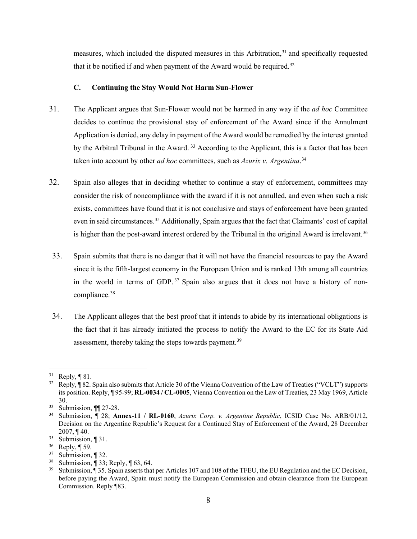measures, which included the disputed measures in this Arbitration,<sup>[31](#page-8-1)</sup> and specifically requested that it be notified if and when payment of the Award would be required.<sup>[32](#page-8-2)</sup>

#### **C. Continuing the Stay Would Not Harm Sun-Flower**

- <span id="page-8-0"></span>31. The Applicant argues that Sun-Flower would not be harmed in any way if the *ad hoc* Committee decides to continue the provisional stay of enforcement of the Award since if the Annulment Application is denied, any delay in payment of the Award would be remedied by the interest granted by the Arbitral Tribunal in the Award.<sup>[33](#page-8-3)</sup> According to the Applicant, this is a factor that has been taken into account by other *ad hoc* committees, such as *Azurix v. Argentina*. [34](#page-8-4)
- 32. Spain also alleges that in deciding whether to continue a stay of enforcement, committees may consider the risk of noncompliance with the award if it is not annulled, and even when such a risk exists, committees have found that it is not conclusive and stays of enforcement have been granted even in said circumstances.<sup>[35](#page-8-5)</sup> Additionally, Spain argues that the fact that Claimants' cost of capital is higher than the post-award interest ordered by the Tribunal in the original Award is irrelevant.<sup>[36](#page-8-6)</sup>
- 33. Spain submits that there is no danger that it will not have the financial resources to pay the Award since it is the fifth-largest economy in the European Union and is ranked 13th among all countries in the world in terms of GDP.<sup>[37](#page-8-7)</sup> Spain also argues that it does not have a history of noncompliance.[38](#page-8-8)
- 34. The Applicant alleges that the best proof that it intends to abide by its international obligations is the fact that it has already initiated the process to notify the Award to the EC for its State Aid assessment, thereby taking the steps towards payment.<sup>[39](#page-8-9)</sup>

<span id="page-8-1"></span> $31$  Reply, ¶ 81.

<span id="page-8-2"></span><sup>&</sup>lt;sup>32</sup> Reply, ¶ 82. Spain also submits that Article 30 of the Vienna Convention of the Law of Treaties ("VCLT") supports its position. Reply, ¶ 95-99; **RL-0034 / CL-0005**, Vienna Convention on the Law of Treaties, 23 May 1969, Article 30.

<span id="page-8-3"></span><sup>33</sup> Submission, ¶¶ 27-28.

<span id="page-8-4"></span><sup>34</sup> Submission, ¶ 28; **Annex-11 / RL-0160**, *Azurix Corp. v. Argentine Republic*, ICSID Case No. ARB/01/12, Decision on the Argentine Republic's Request for a Continued Stay of Enforcement of the Award, 28 December 2007, ¶ 40.

<span id="page-8-5"></span> $35$  Submission, 1 31.

<span id="page-8-6"></span> $rac{36}{37}$  Reply, [59.]

<span id="page-8-7"></span>Submission, ¶ 32.

<span id="page-8-8"></span><sup>&</sup>lt;sup>38</sup> Submission,  $\sqrt{ }$  33; Reply,  $\sqrt{ }$  63, 64.<br><sup>39</sup> Submission.  $\sqrt{ }$  35. Spain asserts that

<span id="page-8-9"></span><sup>39</sup> Submission, ¶ 35. Spain asserts that per Articles 107 and 108 of the TFEU, the EU Regulation and the EC Decision, before paying the Award, Spain must notify the European Commission and obtain clearance from the European Commission. Reply ¶83.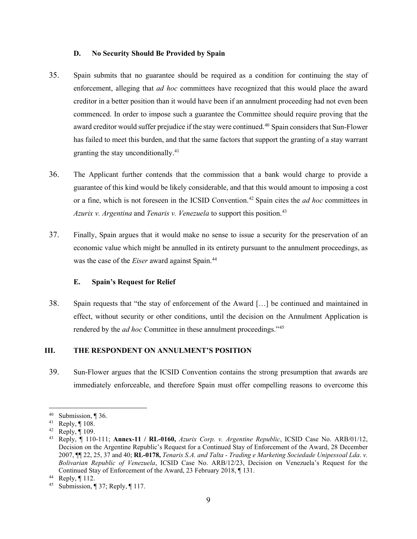#### **D. No Security Should Be Provided by Spain**

- <span id="page-9-0"></span>35. Spain submits that no guarantee should be required as a condition for continuing the stay of enforcement, alleging that *ad hoc* committees have recognized that this would place the award creditor in a better position than it would have been if an annulment proceeding had not even been commenced. In order to impose such a guarantee the Committee should require proving that the award creditor would suffer prejudice if the stay were continued.<sup>[40](#page-9-3)</sup> Spain considers that Sun-Flower has failed to meet this burden, and that the same factors that support the granting of a stay warrant granting the stay unconditionally. [41](#page-9-4)
- 36. The Applicant further contends that the commission that a bank would charge to provide a guarantee of this kind would be likely considerable, and that this would amount to imposing a cost or a fine, which is not foreseen in the ICSID Convention.[42](#page-9-5) Spain cites the *ad hoc* committees in *Azurix v. Argentina* and *Tenaris v. Venezuela* to support this position.<sup>[43](#page-9-6)</sup>
- 37. Finally, Spain argues that it would make no sense to issue a security for the preservation of an economic value which might be annulled in its entirety pursuant to the annulment proceedings, as was the case of the *Eiser* award against Spain.[44](#page-9-7)

#### **E. Spain's Request for Relief**

<span id="page-9-1"></span>38. Spain requests that "the stay of enforcement of the Award […] be continued and maintained in effect, without security or other conditions, until the decision on the Annulment Application is rendered by the *ad hoc* Committee in these annulment proceedings."[45](#page-9-8)

# <span id="page-9-2"></span>**III. THE RESPONDENT ON ANNULMENT'S POSITION**

39. Sun-Flower argues that the ICSID Convention contains the strong presumption that awards are immediately enforceable, and therefore Spain must offer compelling reasons to overcome this

<span id="page-9-3"></span> $40$  Submission, ¶ 36.

<span id="page-9-4"></span><sup>41</sup> Reply, ¶ 108.

<span id="page-9-5"></span> $42$  Reply,  $\P$  109.

<span id="page-9-6"></span><sup>43</sup> Reply, ¶ 110-111; **Annex-11 / RL-0160,** *Azurix Corp. v. Argentine Republic*, ICSID Case No. ARB/01/12, Decision on the Argentine Republic's Request for a Continued Stay of Enforcement of the Award, 28 December 2007, ¶¶ 22, 25, 37 and 40; **RL-0178,** *Tenaris S.A. and Talta - Trading e Marketing Sociedade Unipessoal Lda*. *v. Bolivarian Republic of Venezuela*, ICSID Case No. ARB/12/23, Decision on Venezuela's Request for the Continued Stay of Enforcement of the Award, 23 February 2018, ¶ 131.<br><sup>44</sup> Reply, ¶ 112.

<span id="page-9-7"></span>

<span id="page-9-8"></span><sup>45</sup> Submission, ¶ 37; Reply, ¶ 117.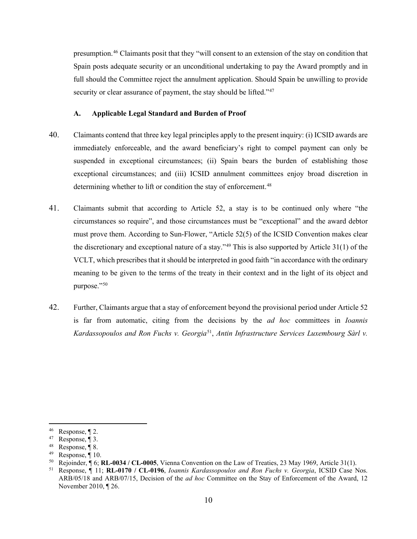presumption.[46](#page-10-1) Claimants posit that they "will consent to an extension of the stay on condition that Spain posts adequate security or an unconditional undertaking to pay the Award promptly and in full should the Committee reject the annulment application. Should Spain be unwilling to provide security or clear assurance of payment, the stay should be lifted."<sup>[47](#page-10-2)</sup>

#### **A. Applicable Legal Standard and Burden of Proof**

- <span id="page-10-0"></span>40. Claimants contend that three key legal principles apply to the present inquiry: (i) ICSID awards are immediately enforceable, and the award beneficiary's right to compel payment can only be suspended in exceptional circumstances; (ii) Spain bears the burden of establishing those exceptional circumstances; and (iii) ICSID annulment committees enjoy broad discretion in determining whether to lift or condition the stay of enforcement.<sup>[48](#page-10-3)</sup>
- 41. Claimants submit that according to Article 52, a stay is to be continued only where "the circumstances so require", and those circumstances must be "exceptional" and the award debtor must prove them. According to Sun-Flower, "Article 52(5) of the ICSID Convention makes clear the discretionary and exceptional nature of a stay." $49$  This is also supported by Article 31(1) of the VCLT, which prescribes that it should be interpreted in good faith "in accordance with the ordinary meaning to be given to the terms of the treaty in their context and in the light of its object and purpose."[50](#page-10-5)
- 42. Further, Claimants argue that a stay of enforcement beyond the provisional period under Article 52 is far from automatic, citing from the decisions by the *ad hoc* committees in *Ioannis Kardassopoulos and Ron Fuchs v. Georgia*[51](#page-10-6), *Antin Infrastructure Services Luxembourg Sàrl v.*

<span id="page-10-1"></span><sup>&</sup>lt;sup>46</sup> Response,  $\P$  2.

<span id="page-10-2"></span><sup>&</sup>lt;sup>47</sup> Response,  $\P$  3.

<span id="page-10-3"></span><sup>48</sup> Response, ¶ 8.

<span id="page-10-4"></span> $49$  Response, ¶ 10.

<span id="page-10-5"></span><sup>&</sup>lt;sup>50</sup> Rejoinder,  $\sqrt{6}$ ; **RL-0034** / **CL-0005**, Vienna Convention on the Law of Treaties, 23 May 1969, Article 31(1).<br><sup>51</sup> Response,  $\sqrt{11}$ ; **RL-0170** / **CL-0196**, *Ioannis Kardassopoulos and Ron Fuchs v. Georgia*, ICSI

<span id="page-10-6"></span>ARB/05/18 and ARB/07/15, Decision of the *ad hoc* Committee on the Stay of Enforcement of the Award, 12 November 2010, ¶ 26.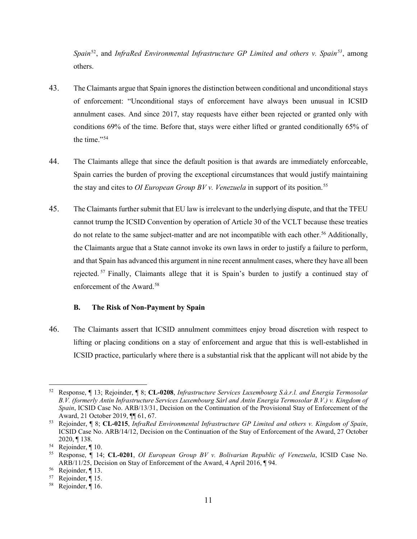*Spain*[52](#page-11-1), and *InfraRed Environmental Infrastructure GP Limited and others v. Spain[53](#page-11-2)*, among others.

- 43. The Claimants argue that Spain ignores the distinction between conditional and unconditional stays of enforcement: "Unconditional stays of enforcement have always been unusual in ICSID annulment cases. And since 2017, stay requests have either been rejected or granted only with conditions 69% of the time. Before that, stays were either lifted or granted conditionally 65% of the time."<sup>[54](#page-11-3)</sup>
- 44. The Claimants allege that since the default position is that awards are immediately enforceable, Spain carries the burden of proving the exceptional circumstances that would justify maintaining the stay and cites to *OI European Group BV v. Venezuela* in support of its position.[55](#page-11-4)
- 45. The Claimants further submit that EU law is irrelevant to the underlying dispute, and that the TFEU cannot trump the ICSID Convention by operation of Article 30 of the VCLT because these treaties do not relate to the same subject-matter and are not incompatible with each other. [56](#page-11-5) Additionally, the Claimants argue that a State cannot invoke its own laws in order to justify a failure to perform, and that Spain has advanced this argument in nine recent annulment cases, where they have all been rejected.<sup>[57](#page-11-6)</sup> Finally, Claimants allege that it is Spain's burden to justify a continued stay of enforcement of the Award. [58](#page-11-7)

## **B. The Risk of Non-Payment by Spain**

<span id="page-11-0"></span>46. The Claimants assert that ICSID annulment committees enjoy broad discretion with respect to lifting or placing conditions on a stay of enforcement and argue that this is well-established in ICSID practice, particularly where there is a substantial risk that the applicant will not abide by the

<span id="page-11-1"></span><sup>52</sup> Response, ¶ 13; Rejoinder, ¶ 8; **CL-0208**, *Infrastructure Services Luxembourg S.à.r.l. and Energia Termosolar B.V. (formerly Antin Infrastructure Services Luxembourg Sàrl and Antin Energia Termosolar B.V.) v. Kingdom of Spain*, ICSID Case No. ARB/13/31, Decision on the Continuation of the Provisional Stay of Enforcement of the Award, 21 October 2019, ¶¶ 61, 67. 53 Rejoinder, ¶ 8; **CL-0215**, *InfraRed Environmental Infrastructure GP Limited and others v. Kingdom of Spain*,

<span id="page-11-2"></span>ICSID Case No. ARB/14/12, Decision on the Continuation of the Stay of Enforcement of the Award, 27 October 2020, ¶ 138.<br><sup>54</sup> Rejoinder, ¶ 10.

<span id="page-11-3"></span>

<span id="page-11-4"></span><sup>55</sup> Response, ¶ 14; **CL-0201**, *OI European Group BV v. Bolivarian Republic of Venezuela*, ICSID Case No. ARB/11/25, Decision on Stay of Enforcement of the Award, 4 April 2016, ¶ 94.

<span id="page-11-5"></span><sup>&</sup>lt;sup>56</sup> Rejoinder,  $\P$  13.<br><sup>57</sup> Rejoinder  $\P$  15

<span id="page-11-7"></span><span id="page-11-6"></span> $^{57}$  Rejoinder, [15.<br>  $^{58}$  Rejoinder 16

Rejoinder, ¶ 16.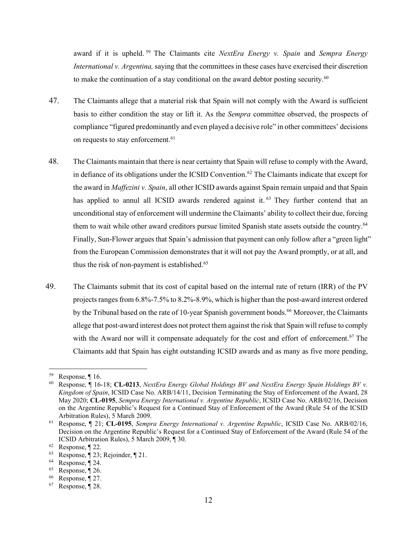award if it is upheld. [59](#page-12-0) The Claimants cite *NextEra Energy v. Spain* and *Sempra Energy International v. Argentina,* saying that the committees in these cases have exercised their discretion to make the continuation of a stay conditional on the award debtor posting security.<sup>[60](#page-12-1)</sup>

- 47. The Claimants allege that a material risk that Spain will not comply with the Award is sufficient basis to either condition the stay or lift it. As the *Sempra* committee observed, the prospects of compliance "figured predominantly and even played a decisive role" in other committees' decisions on requests to stay enforcement. [61](#page-12-2)
- 48. The Claimants maintain that there is near certainty that Spain will refuse to comply with the Award, in defiance of its obligations under the ICSID Convention.<sup>[62](#page-12-3)</sup> The Claimants indicate that except for the award in *Maffezini v. Spain*, all other ICSID awards against Spain remain unpaid and that Spain has applied to annul all ICSID awards rendered against it.<sup>[63](#page-12-4)</sup> They further contend that an unconditional stay of enforcement will undermine the Claimants' ability to collect their due, forcing them to wait while other award creditors pursue limited Spanish state assets outside the country.[64](#page-12-5) Finally, Sun-Flower argues that Spain's admission that payment can only follow after a "green light" from the European Commission demonstrates that it will not pay the Award promptly, or at all, and thus the risk of non-payment is established.<sup>[65](#page-12-6)</sup>
- 49. The Claimants submit that its cost of capital based on the internal rate of return (IRR) of the PV projects ranges from 6.8%-7.5% to 8.2%-8.9%, which is higher than the post-award interest ordered by the Tribunal based on the rate of 10-year Spanish government bonds.<sup>[66](#page-12-7)</sup> Moreover, the Claimants allege that post-award interest does not protect them against the risk that Spain will refuse to comply with the Award nor will it compensate adequately for the cost and effort of enforcement.<sup>[67](#page-12-8)</sup> The Claimants add that Spain has eight outstanding ICSID awards and as many as five more pending,

<span id="page-12-0"></span><sup>59</sup> Response, ¶ 16.

<span id="page-12-1"></span><sup>60</sup> Response, ¶ 16-18; **CL-0213**, *NextEra Energy Global Holdings BV and NextEra Energy Spain Holdings BV v. Kingdom of Spain*, ICSID Case No. ARB/14/11, Decision Terminating the Stay of Enforcement of the Award, 28 May 2020; **CL-0195**, *Sempra Energy International v. Argentine Republic*, ICSID Case No. ARB/02/16, Decision on the Argentine Republic's Request for a Continued Stay of Enforcement of the Award (Rule 54 of the ICSID Arbitration Rules), 5 March 2009. 61 Response, ¶ 21; **CL-0195**, *Sempra Energy International v. Argentine Republic*, ICSID Case No. ARB/02/16,

<span id="page-12-2"></span>Decision on the Argentine Republic's Request for a Continued Stay of Enforcement of the Award (Rule 54 of the ICSID Arbitration Rules), 5 March 2009, ¶ 30. 62 Response, ¶ 22.

<span id="page-12-3"></span>

<span id="page-12-4"></span><sup>63</sup> Response, ¶ 23; Rejoinder, ¶ 21.

<span id="page-12-5"></span><sup>&</sup>lt;sup>64</sup> Response,  $\P$  24.<br><sup>65</sup> Response,  $\P$  26.

<span id="page-12-6"></span>

<span id="page-12-7"></span> $^{66}$  Response,  $\sqrt[6]{27}$ .<br>  $^{67}$  Response  $\sqrt[6]{28}$ 

<span id="page-12-8"></span>Response, ¶ 28.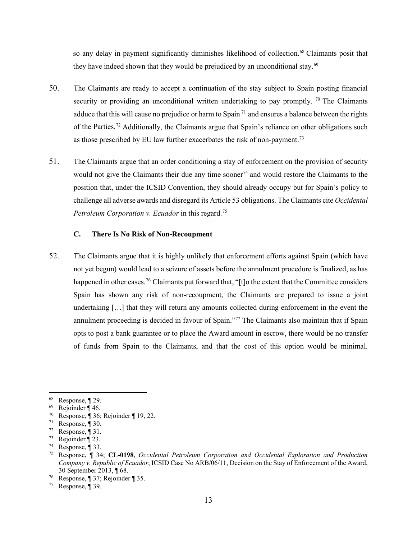so any delay in payment significantly diminishes likelihood of collection.<sup>[68](#page-13-1)</sup> Claimants posit that they have indeed shown that they would be prejudiced by an unconditional stay.<sup>[69](#page-13-2)</sup>

- 50. The Claimants are ready to accept a continuation of the stay subject to Spain posting financial security or providing an unconditional written undertaking to pay promptly. <sup>[70](#page-13-3)</sup> The Claimants adduce that this will cause no prejudice or harm to Spain<sup>[71](#page-13-4)</sup> and ensures a balance between the rights of the Parties.<sup>[72](#page-13-5)</sup> Additionally, the Claimants argue that Spain's reliance on other obligations such as those prescribed by EU law further exacerbates the risk of non-payment.<sup>[73](#page-13-6)</sup>
- 51. The Claimants argue that an order conditioning a stay of enforcement on the provision of security would not give the Claimants their due any time sooner<sup>[74](#page-13-7)</sup> and would restore the Claimants to the position that, under the ICSID Convention, they should already occupy but for Spain's policy to challenge all adverse awards and disregard its Article 53 obligations. The Claimants cite *Occidental Petroleum Corporation v. Ecuador* in this regard.[75](#page-13-8)

#### **C. There Is No Risk of Non-Recoupment**

<span id="page-13-11"></span><span id="page-13-0"></span>52. The Claimants argue that it is highly unlikely that enforcement efforts against Spain (which have not yet begun) would lead to a seizure of assets before the annulment procedure is finalized, as has happened in other cases.<sup>[76](#page-13-9)</sup> Claimants put forward that, "[t]o the extent that the Committee considers Spain has shown any risk of non-recoupment, the Claimants are prepared to issue a joint undertaking […] that they will return any amounts collected during enforcement in the event the annulment proceeding is decided in favour of Spain."[77](#page-13-10) The Claimants also maintain that if Spain opts to post a bank guarantee or to place the Award amount in escrow, there would be no transfer of funds from Spain to the Claimants, and that the cost of this option would be minimal.

<span id="page-13-1"></span><sup>68</sup> Response, ¶ 29.

<span id="page-13-2"></span><sup>69</sup> Rejoinder ¶ 46.

<span id="page-13-3"></span><sup>70</sup> Response, ¶ 36; Rejoinder ¶ 19, 22.

<span id="page-13-4"></span><sup>&</sup>lt;sup>71</sup> Response,  $\P$  30.

<span id="page-13-5"></span><sup>&</sup>lt;sup>72</sup> Response,  $\P$  31.

<span id="page-13-6"></span><sup>73</sup> Rejoinder ¶ 23.

<span id="page-13-7"></span><sup>&</sup>lt;sup>74</sup> Response,  $\P$  33.

<span id="page-13-8"></span><sup>75</sup> Response, ¶ 34; **CL-0198**, *Occidental Petroleum Corporation and Occidental Exploration and Production Company v. Republic of Ecuador*, ICSID Case No ARB/06/11, Decision on the Stay of Enforcement of the Award, 30 September 2013, ¶ 68.

<span id="page-13-10"></span><span id="page-13-9"></span> $^{76}$  Response,  $\sqrt{37}$ ; Rejoinder  $\sqrt{35}$ .<br>  $^{77}$  Response  $\sqrt{39}$ 

Response, ¶ 39.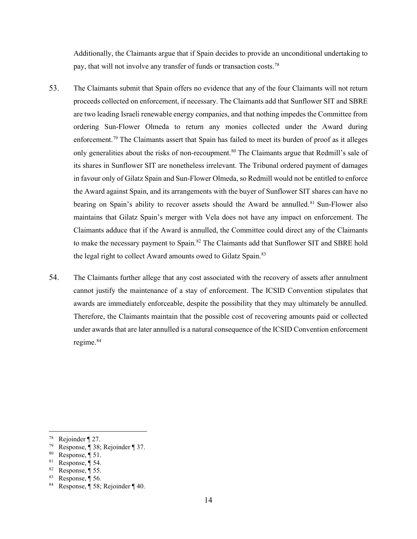Additionally, the Claimants argue that if Spain decides to provide an unconditional undertaking to pay, that will not involve any transfer of funds or transaction costs.[78](#page-14-0)

- 53. The Claimants submit that Spain offers no evidence that any of the four Claimants will not return proceeds collected on enforcement, if necessary. The Claimants add that Sunflower SIT and SBRE are two leading Israeli renewable energy companies, and that nothing impedes the Committee from ordering Sun-Flower Olmeda to return any monies collected under the Award during enforcement.<sup>[79](#page-14-1)</sup> The Claimants assert that Spain has failed to meet its burden of proof as it alleges only generalities about the risks of non-recoupment.<sup>[80](#page-14-2)</sup> The Claimants argue that Redmill's sale of its shares in Sunflower SIT are nonetheless irrelevant. The Tribunal ordered payment of damages in favour only of Gilatz Spain and Sun-Flower Olmeda, so Redmill would not be entitled to enforce the Award against Spain, and its arrangements with the buyer of Sunflower SIT shares can have no bearing on Spain's ability to recover assets should the Award be annulled.<sup>[81](#page-14-3)</sup> Sun-Flower also maintains that Gilatz Spain's merger with Vela does not have any impact on enforcement. The Claimants adduce that if the Award is annulled, the Committee could direct any of the Claimants to make the necessary payment to Spain.<sup>[82](#page-14-4)</sup> The Claimants add that Sunflower SIT and SBRE hold the legal right to collect Award amounts owed to Gilatz Spain.<sup>[83](#page-14-5)</sup>
- 54. The Claimants further allege that any cost associated with the recovery of assets after annulment cannot justify the maintenance of a stay of enforcement. The ICSID Convention stipulates that awards are immediately enforceable, despite the possibility that they may ultimately be annulled. Therefore, the Claimants maintain that the possible cost of recovering amounts paid or collected under awards that are later annulled is a natural consequence of the ICSID Convention enforcement regime.<sup>[84](#page-14-6)</sup>

<span id="page-14-5"></span><sup>83</sup> Response,  $\P$  56.

<span id="page-14-0"></span><sup>78</sup> Rejoinder ¶ 27.

<span id="page-14-1"></span><sup>79</sup> Response, ¶ 38; Rejoinder ¶ 37.

<span id="page-14-2"></span> $80$  Response,  $\P$  51.

<span id="page-14-3"></span> $81$  Response, ¶ 54.

<span id="page-14-4"></span> $82$  Response, ¶ 55.

<span id="page-14-6"></span>Response,  $\overline{\P}$  58; Rejoinder  $\P$  40.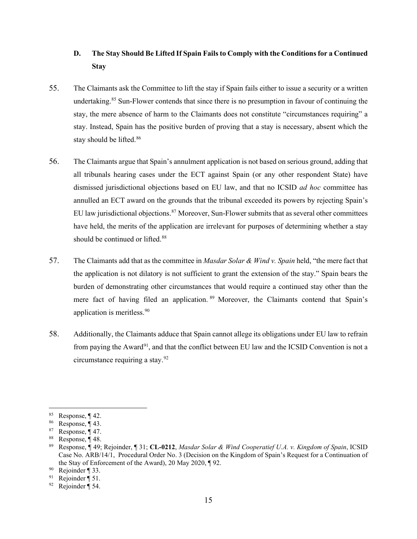# <span id="page-15-0"></span>**D. The Stay Should Be Lifted If Spain Fails to Comply with the Conditions for a Continued Stay**

- 55. The Claimants ask the Committee to lift the stay if Spain fails either to issue a security or a written undertaking. [85](#page-15-1) Sun-Flower contends that since there is no presumption in favour of continuing the stay, the mere absence of harm to the Claimants does not constitute "circumstances requiring" a stay. Instead, Spain has the positive burden of proving that a stay is necessary, absent which the stay should be lifted.<sup>[86](#page-15-2)</sup>
- 56. The Claimants argue that Spain's annulment application is not based on serious ground, adding that all tribunals hearing cases under the ECT against Spain (or any other respondent State) have dismissed jurisdictional objections based on EU law, and that no ICSID *ad hoc* committee has annulled an ECT award on the grounds that the tribunal exceeded its powers by rejecting Spain's EU law jurisdictional objections.<sup>[87](#page-15-3)</sup> Moreover, Sun-Flower submits that as several other committees have held, the merits of the application are irrelevant for purposes of determining whether a stay should be continued or lifted.<sup>[88](#page-15-4)</sup>
- 57. The Claimants add that as the committee in *Masdar Solar & Wind v. Spain* held, "the mere fact that the application is not dilatory is not sufficient to grant the extension of the stay." Spain bears the burden of demonstrating other circumstances that would require a continued stay other than the mere fact of having filed an application. <sup>[89](#page-15-5)</sup> Moreover, the Claimants contend that Spain's application is meritless. [90](#page-15-6)
- 58. Additionally, the Claimants adduce that Spain cannot allege its obligations under EU law to refrain from paying the Award<sup>[91](#page-15-7)</sup>, and that the conflict between EU law and the ICSID Convention is not a circumstance requiring a stay[.92](#page-15-8)

<span id="page-15-1"></span><sup>85</sup> Response, ¶ 42.

<span id="page-15-2"></span> $86$  Response, ¶ 43.

<span id="page-15-3"></span><sup>&</sup>lt;sup>87</sup> Response,  $\P$  47.

<span id="page-15-4"></span><sup>88</sup> Response, ¶ 48.

<span id="page-15-5"></span><sup>89</sup> Response, ¶ 49; Rejoinder, ¶ 31; **CL-0212**, *Masdar Solar & Wind Cooperatief U.A. v. Kingdom of Spain*, ICSID Case No. ARB/14/1, Procedural Order No. 3 (Decision on the Kingdom of Spain's Request for a Continuation of the Stay of Enforcement of the Award), 20 May 2020,  $\P$ 92.<br><sup>90</sup> Rejoinder  $\P$  33.<br><sup>91</sup> Rejoinder  $\P$  51

<span id="page-15-6"></span>

<span id="page-15-8"></span><span id="page-15-7"></span><sup>&</sup>lt;sup>91</sup> Rejoinder  $\P$  51.<br><sup>92</sup> Rejoinder  $\P$  54

Rejoinder  $\overline{\P}$  54.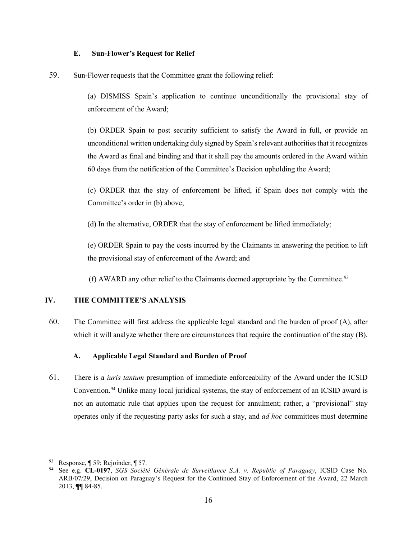#### **E. Sun-Flower's Request for Relief**

<span id="page-16-0"></span>59. Sun-Flower requests that the Committee grant the following relief:

(a) DISMISS Spain's application to continue unconditionally the provisional stay of enforcement of the Award;

(b) ORDER Spain to post security sufficient to satisfy the Award in full, or provide an unconditional written undertaking duly signed by Spain's relevant authorities that it recognizes the Award as final and binding and that it shall pay the amounts ordered in the Award within 60 days from the notification of the Committee's Decision upholding the Award;

(c) ORDER that the stay of enforcement be lifted, if Spain does not comply with the Committee's order in (b) above;

(d) In the alternative, ORDER that the stay of enforcement be lifted immediately;

(e) ORDER Spain to pay the costs incurred by the Claimants in answering the petition to lift the provisional stay of enforcement of the Award; and

(f) AWARD any other relief to the Claimants deemed appropriate by the Committee.<sup>[93](#page-16-3)</sup>

# <span id="page-16-1"></span>**IV. THE COMMITTEE'S ANALYSIS**

60. The Committee will first address the applicable legal standard and the burden of proof (A), after which it will analyze whether there are circumstances that require the continuation of the stay (B).

# **A. Applicable Legal Standard and Burden of Proof**

<span id="page-16-2"></span>61. There is a *iuris tantum* presumption of immediate enforceability of the Award under the ICSID Convention.[94](#page-16-4) Unlike many local juridical systems, the stay of enforcement of an ICSID award is not an automatic rule that applies upon the request for annulment; rather, a "provisional" stay operates only if the requesting party asks for such a stay, and *ad hoc* committees must determine

<span id="page-16-3"></span><sup>93</sup> Response,  $\P$  59; Rejoinder,  $\P$  57.

<span id="page-16-4"></span><sup>94</sup> See e.g. **CL-0197**, *SGS Société Générale de Surveillance S.A. v. Republic of Paraguay*, ICSID Case No. ARB/07/29, Decision on Paraguay's Request for the Continued Stay of Enforcement of the Award, 22 March 2013, **¶¶** 84-85.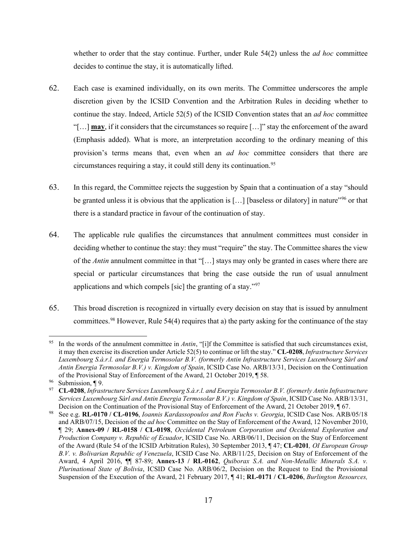whether to order that the stay continue. Further, under Rule 54(2) unless the *ad hoc* committee decides to continue the stay, it is automatically lifted.

- 62. Each case is examined individually, on its own merits. The Committee underscores the ample discretion given by the ICSID Convention and the Arbitration Rules in deciding whether to continue the stay. Indeed, Article 52(5) of the ICSID Convention states that an *ad hoc* committee "[…] **may**, if it considers that the circumstances so require […]" stay the enforcement of the award (Emphasis added). What is more, an interpretation according to the ordinary meaning of this provision's terms means that, even when an *ad hoc* committee considers that there are circumstances requiring a stay, it could still deny its continuation.<sup>[95](#page-17-0)</sup>
- 63. In this regard, the Committee rejects the suggestion by Spain that a continuation of a stay "should be granted unless it is obvious that the application is [...] [baseless or dilatory] in nature<sup>1[96](#page-17-1)</sup> or that there is a standard practice in favour of the continuation of stay.
- 64. The applicable rule qualifies the circumstances that annulment committees must consider in deciding whether to continue the stay: they must "require" the stay. The Committee shares the view of the *Antin* annulment committee in that "[…] stays may only be granted in cases where there are special or particular circumstances that bring the case outside the run of usual annulment applications and which compels [sic] the granting of a stay."[97](#page-17-2)
- 65. This broad discretion is recognized in virtually every decision on stay that is issued by annulment committees.<sup>[98](#page-17-3)</sup> However, Rule 54(4) requires that a) the party asking for the continuance of the stay

<span id="page-17-0"></span>In the words of the annulment committee in *Antin*, "[i]f the Committee is satisfied that such circumstances exist, it may then exercise its discretion under Article 52(5) to continue or lift the stay." **CL-0208**, *Infrastructure Services Luxembourg S.à.r.l. and Energia Termosolar B.V. (formerly Antin Infrastructure Services Luxembourg Sàrl and Antin Energia Termosolar B.V.) v. Kingdom of Spain*, ICSID Case No. ARB/13/31, Decision on the Continuation of the Provisional Stay of Enforcement of the Award, 21 October 2019, ¶ 58.

<span id="page-17-1"></span><sup>96</sup> Submission, ¶ 9.

<span id="page-17-2"></span><sup>97</sup> **CL-0208**, *Infrastructure Services Luxembourg S.à.r.l. and Energia Termosolar B.V. (formerly Antin Infrastructure Services Luxembourg Sàrl and Antin Energia Termosolar B.V.) v. Kingdom of Spain*, ICSID Case No. ARB/13/31, Decision on the Continuation of the Provisional Stay of Enforcement of the Award, 21 October 2019, ¶ 67.

<span id="page-17-3"></span><sup>98</sup> See e.g. **RL-0170 / CL-0196**, *Ioannis Kardassopoulos and Ron Fuchs v. Georgia*, ICSID Case Nos. ARB/05/18 and ARB/07/15, Decision of the *ad hoc* Committee on the Stay of Enforcement of the Award, 12 November 2010, ¶ 29; **Annex-09 / RL-0158 / CL-0198**, *Occidental Petroleum Corporation and Occidental Exploration and Production Company v. Republic of Ecuador*, ICSID Case No. ARB/06/11, Decision on the Stay of Enforcement of the Award (Rule 54 of the ICSID Arbitration Rules), 30 September 2013, ¶ 47; **CL-0201***, OI European Group B.V. v. Bolivarian Republic of Venezuela*, ICSID Case No. ARB/11/25, Decision on Stay of Enforcement of the Award, 4 April 2016, ¶¶ 87-89; **Annex-13 / RL-0162**, *Quiborax S.A. and Non-Metallic Minerals S.A. v. Plurinational State of Bolivia*, ICSID Case No. ARB/06/2, Decision on the Request to End the Provisional Suspension of the Execution of the Award, 21 February 2017, ¶ 41; **RL-0171 / CL-0206**, *Burlington Resources,*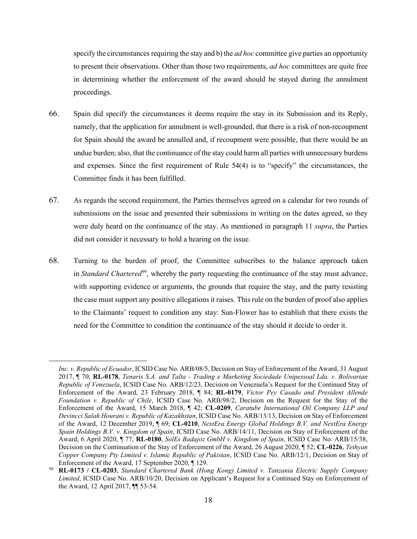specify the circumstances requiring the stay and b) the *ad hoc* committee give parties an opportunity to present their observations. Other than those two requirements, *ad hoc* committees are quite free in determining whether the enforcement of the award should be stayed during the annulment proceedings.

- 66. Spain did specify the circumstances it deems require the stay in its Submission and its Reply, namely, that the application for annulment is well-grounded, that there is a risk of non-recoupment for Spain should the award be annulled and, if recoupment were possible, that there would be an undue burden; also, that the continuance of the stay could harm all parties with unnecessary burdens and expenses. Since the first requirement of Rule 54(4) is to "specify" the circumstances, the Committee finds it has been fulfilled.
- 67. As regards the second requirement, the Parties themselves agreed on a calendar for two rounds of submissions on the issue and presented their submissions in writing on the dates agreed, so they were duly heard on the continuance of the stay. As mentioned in paragraph [11](#page-3-0) *supra*, the Parties did not consider it necessary to hold a hearing on the issue.
- 68. Turning to the burden of proof, the Committee subscribes to the balance approach taken in *Standard Chartered*[99,](#page-18-0) whereby the party requesting the continuance of the stay must advance, with supporting evidence or arguments, the grounds that require the stay, and the party resisting the case must support any positive allegations it raises. This rule on the burden of proof also applies to the Claimants' request to condition any stay: Sun-Flower has to establish that there exists the need for the Committee to condition the continuance of the stay should it decide to order it.

*Inc. v. Republic of Ecuador*, ICSID Case No. ARB/08/5, Decision on Stay of Enforcement of the Award, 31 August 2017, ¶ 70; **RL-0178**, *Tenaris S.A. and Talta - Trading e Marketing Sociedade Unipessoal Lda. v. Bolivarian Republic of Venezuela*, ICSID Case No. ARB/12/23, Decision on Venezuela's Request for the Continued Stay of Enforcement of the Award, 23 February 2018, ¶ 84; **RL-0179**, *Victor Pey Casado and President Allende Foundation v. Republic of Chile*, ICSID Case No. ARB/98/2, Decision on the Request for the Stay of the Enforcement of the Award, 15 March 2018, ¶ 42; **CL-0209**, *Caratube International Oil Company LLP and Devincci Salah Hourani v. Republic of Kazakhstan*, ICSID Case No. ARB/13/13, Decision on Stay of Enforcement of the Award, 12 December 2019, ¶ 69; **CL-0210**, *NextEra Energy Global Holdings B.V. and NextEra Energy Spain Holdings B.V. v. Kingdom of Spain*, ICSID Case No. ARB/14/11, Decision on Stay of Enforcement of the Award, 6 April 2020, ¶ 77; **RL-0180**, *SolEs Badajoz GmbH v. Kingdom of Spain*, ICSID Case No. ARB/15/38, Decision on the Continuation of the Stay of Enforcement of the Award, 26 August 2020, ¶ 52; **CL-0226**, *Tethyan Copper Company Pty Limited v. Islamic Republic of Pakistan*, ICSID Case No. ARB/12/1, Decision on Stay of Enforcement of the Award, 17 September 2020, ¶ 129.

<span id="page-18-0"></span><sup>99</sup> **RL-0173 / CL-0203**, *Standard Chartered Bank (Hong Kong) Limited v. Tanzania Electric Supply Company Limited*, ICSID Case No. ARB/10/20, Decision on Applicant's Request for a Continued Stay on Enforcement of the Award, 12 April 2017, ¶¶ 53-54.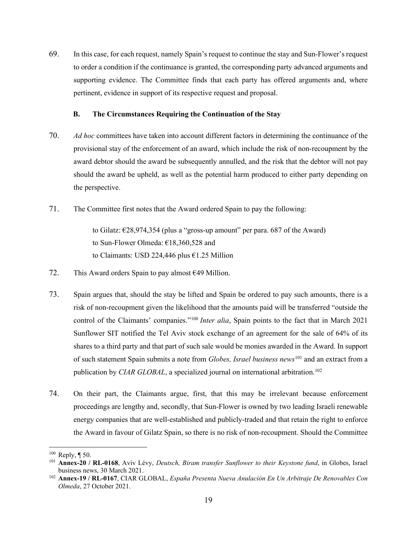69. In this case, for each request, namely Spain's request to continue the stay and Sun-Flower's request to order a condition if the continuance is granted, the corresponding party advanced arguments and supporting evidence. The Committee finds that each party has offered arguments and, where pertinent, evidence in support of its respective request and proposal.

#### **B. The Circumstances Requiring the Continuation of the Stay**

- <span id="page-19-0"></span>70. *Ad hoc* committees have taken into account different factors in determining the continuance of the provisional stay of the enforcement of an award, which include the risk of non-recoupment by the award debtor should the award be subsequently annulled, and the risk that the debtor will not pay should the award be upheld, as well as the potential harm produced to either party depending on the perspective.
- 71. The Committee first notes that the Award ordered Spain to pay the following:

to Gilatz:  $\epsilon$ 28,974,354 (plus a "gross-up amount" per para. 687 of the Award) to Sun-Flower Olmeda: €18,360,528 and to Claimants: USD 224,446 plus €1.25 Million

- 72. This Award orders Spain to pay almost  $649$  Million.
- 73. Spain argues that, should the stay be lifted and Spain be ordered to pay such amounts, there is a risk of non-recoupment given the likelihood that the amounts paid will be transferred "outside the control of the Claimants' companies."[100](#page-19-1) *Inter alia*, Spain points to the fact that in March 2021 Sunflower SIT notified the Tel Aviv stock exchange of an agreement for the sale of 64% of its shares to a third party and that part of such sale would be monies awarded in the Award. In support of such statement Spain submits a note from *Globes, Israel business news*[101](#page-19-2) and an extract from a publication by *CIAR GLOBAL*, a specialized journal on international arbitration.<sup>[102](#page-19-3)</sup>
- 74. On their part, the Claimants argue, first, that this may be irrelevant because enforcement proceedings are lengthy and, secondly, that Sun-Flower is owned by two leading Israeli renewable energy companies that are well-established and publicly-traded and that retain the right to enforce the Award in favour of Gilatz Spain, so there is no risk of non-recoupment. Should the Committee

<span id="page-19-1"></span> $100$  Reply, ¶ 50.

<span id="page-19-2"></span><sup>101</sup> **Annex-20 / RL-0168**, Aviv Lévy, *Deutsch, Biram transfer Sunflower to their Keystone fund*, in Globes, Israel business news, 30 March 2021.

<span id="page-19-3"></span><sup>102</sup> **Annex-19 / RL-0167**, CIAR GLOBAL, *España Presenta Nueva Anulación En Un Arbitraje De Renovables Con Olmeda*, 27 October 2021.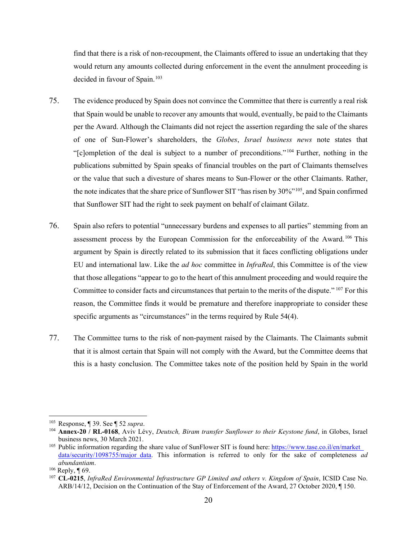find that there is a risk of non-recoupment, the Claimants offered to issue an undertaking that they would return any amounts collected during enforcement in the event the annulment proceeding is decided in favour of Spain.<sup>[103](#page-20-0)</sup>

- 75. The evidence produced by Spain does not convince the Committee that there is currently a real risk that Spain would be unable to recover any amounts that would, eventually, be paid to the Claimants per the Award. Although the Claimants did not reject the assertion regarding the sale of the shares of one of Sun-Flower's shareholders, the *Globes*, *Israel business news* note states that "[c]ompletion of the deal is subject to a number of preconditions." [104](#page-20-1) Further, nothing in the publications submitted by Spain speaks of financial troubles on the part of Claimants themselves or the value that such a divesture of shares means to Sun-Flower or the other Claimants. Rather, the note indicates that the share price of Sunflower SIT "has risen by 30%"[105](#page-20-2), and Spain confirmed that Sunflower SIT had the right to seek payment on behalf of claimant Gilatz.
- 76. Spain also refers to potential "unnecessary burdens and expenses to all parties" stemming from an assessment process by the European Commission for the enforceability of the Award.<sup>[106](#page-20-3)</sup> This argument by Spain is directly related to its submission that it faces conflicting obligations under EU and international law. Like the *ad hoc* committee in *InfraRed*, this Committee is of the view that those allegations "appear to go to the heart of this annulment proceeding and would require the Committee to consider facts and circumstances that pertain to the merits of the dispute." [107](#page-20-4) For this reason, the Committee finds it would be premature and therefore inappropriate to consider these specific arguments as "circumstances" in the terms required by Rule 54(4).
- 77. The Committee turns to the risk of non-payment raised by the Claimants. The Claimants submit that it is almost certain that Spain will not comply with the Award, but the Committee deems that this is a hasty conclusion. The Committee takes note of the position held by Spain in the world

<span id="page-20-0"></span><sup>103</sup> Response, ¶ 39. See ¶ [52](#page-13-11) *supra*.

<span id="page-20-1"></span><sup>104</sup> **Annex-20 / RL-0168**, Aviv Lévy, *Deutsch, Biram transfer Sunflower to their Keystone fund*, in Globes, Israel business news, 30 March 2021.

<span id="page-20-2"></span><sup>&</sup>lt;sup>105</sup> Public information regarding the share value of SunFlower SIT is found here: https://www.tase.co.il/en/market [data/security/1098755/major\\_data.](https://www.tase.co.il/en/market_data/security/1098755/major_data) This information is referred to only for the sake of completeness *ad abundantiam*.

<span id="page-20-3"></span> $106$  Reply, ¶ 69.

<span id="page-20-4"></span><sup>107</sup> **CL-0215**, *InfraRed Environmental Infrastructure GP Limited and others v. Kingdom of Spain*, ICSID Case No. ARB/14/12, Decision on the Continuation of the Stay of Enforcement of the Award, 27 October 2020, ¶ 150.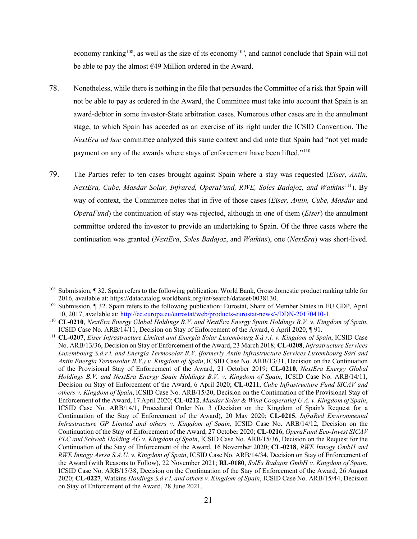economy ranking<sup>108</sup>, as well as the size of its economy<sup>109</sup>, and cannot conclude that Spain will not be able to pay the almost €49 Million ordered in the Award.

- 78. Nonetheless, while there is nothing in the file that persuades the Committee of a risk that Spain will not be able to pay as ordered in the Award, the Committee must take into account that Spain is an award-debtor in some investor-State arbitration cases. Numerous other cases are in the annulment stage, to which Spain has acceded as an exercise of its right under the ICSID Convention. The *NextEra ad hoc* committee analyzed this same context and did note that Spain had "not yet made payment on any of the awards where stays of enforcement have been lifted."<sup>110</sup>
- 79. The Parties refer to ten cases brought against Spain where a stay was requested (*Eiser, Antin, NextEra, Cube, Masdar Solar, Infrared, OperaFund, RWE, Soles Badajoz, and Watkins*<sup>111</sup>). By way of context, the Committee notes that in five of those cases (*Eiser, Antin, Cube, Masdar* and *OperaFund*) the continuation of stay was rejected, although in one of them (*Eiser*) the annulment committee ordered the investor to provide an undertaking to Spain. Of the three cases where the continuation was granted (*NextEra*, *Soles Badajoz*, and *Watkins*), one (*NextEra*) was short-lived.

<span id="page-21-0"></span><sup>108</sup> Submission, ¶ 32. Spain refers to the following publication: World Bank, Gross domestic product ranking table for 2016, available at: https://datacatalog.worldbank.org/int/search/dataset/0038130.

<span id="page-21-1"></span><sup>109</sup> Submission, ¶ 32. Spain refers to the following publication: Eurostat, Share of Member States in EU GDP, April 10, 2017, available at: [http://ec.europa.eu/eurostat/web/products-eurostat-news/-/DDN-20170410-1.](http://ec.europa.eu/eurostat/web/products-eurostat-news/-/DDN-20170410-1)

<span id="page-21-2"></span><sup>110</sup> **CL-0210**, *NextEra Energy Global Holdings B.V. and NextEra Energy Spain Holdings B.V. v. Kingdom of Spain*, ICSID Case No. ARB/14/11, Decision on Stay of Enforcement of the Award, 6 April 2020, ¶ 91.

<span id="page-21-3"></span><sup>111</sup> **CL-0207**, *Eiser Infrastructure Limited and Energía Solar Luxembourg S.à r.l. v. Kingdom of Spain*, ICSID Case No. ARB/13/36, Decision on Stay of Enforcement of the Award, 23 March 2018; **CL-0208**, *Infrastructure Services Luxembourg S.à.r.l. and Energia Termosolar B.V. (formerly Antin Infrastructure Services Luxembourg Sàrl and Antin Energia Termosolar B.V.) v. Kingdom of Spain*, ICSID Case No. ARB/13/31, Decision on the Continuation of the Provisional Stay of Enforcement of the Award, 21 October 2019; **CL-0210**, *NextEra Energy Global Holdings B.V. and NextEra Energy Spain Holdings B.V. v. Kingdom of Spain*, ICSID Case No. ARB/14/11, Decision on Stay of Enforcement of the Award, 6 April 2020; **CL-0211**, *Cube Infrastructure Fund SICAV and others v. Kingdom of Spain*, ICSID Case No. ARB/15/20, Decision on the Continuation of the Provisional Stay of Enforcement of the Award, 17 April 2020; **CL-0212**, *Masdar Solar & Wind Cooperatief U.A. v. Kingdom of Spain*, ICSID Case No. ARB/14/1, Procedural Order No. 3 (Decision on the Kingdom of Spain's Request for a Continuation of the Stay of Enforcement of the Award), 20 May 2020; **CL-0215**, *InfraRed Environmental Infrastructure GP Limited and others v. Kingdom of Spain,* ICSID Case No. ARB/14/12*,* Decision on the Continuation of the Stay of Enforcement of the Award, 27 October 2020; **CL-0216**, *OperaFund Eco-Invest SICAV PLC and Schwab Holding AG v. Kingdom of Spain*, ICSID Case No. ARB/15/36, Decision on the Request for the Continuation of the Stay of Enforcement of the Award, 16 November 2020; **CL-0218**, *RWE Innogy GmbH and RWE Innogy Aersa S.A.U. v. Kingdom of Spain*, ICSID Case No. ARB/14/34, Decision on Stay of Enforcement of the Award (with Reasons to Follow), 22 November 2021; **RL-0180**, *SolEs Badajoz GmbH v. Kingdom of Spain*, ICSID Case No. ARB/15/38, Decision on the Continuation of the Stay of Enforcement of the Award, 26 August 2020; **CL-0227**, Watkins *Holdings S.à r.l. and others v. Kingdom of Spain*, ICSID Case No. ARB/15/44, Decision on Stay of Enforcement of the Award, 28 June 2021.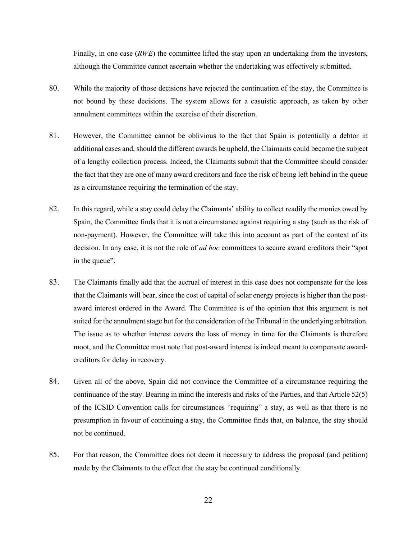Finally, in one case (*RWE*) the committee lifted the stay upon an undertaking from the investors, although the Committee cannot ascertain whether the undertaking was effectively submitted.

- 80. While the majority of those decisions have rejected the continuation of the stay, the Committee is not bound by these decisions. The system allows for a casuistic approach, as taken by other annulment committees within the exercise of their discretion.
- 81. However, the Committee cannot be oblivious to the fact that Spain is potentially a debtor in additional cases and, should the different awards be upheld, the Claimants could become the subject of a lengthy collection process. Indeed, the Claimants submit that the Committee should consider the fact that they are one of many award creditors and face the risk of being left behind in the queue as a circumstance requiring the termination of the stay.
- 82. In this regard, while a stay could delay the Claimants' ability to collect readily the monies owed by Spain, the Committee finds that it is not a circumstance against requiring a stay (such as the risk of non-payment). However, the Committee will take this into account as part of the context of its decision. In any case, it is not the role of *ad hoc* committees to secure award creditors their "spot in the queue".
- 83. The Claimants finally add that the accrual of interest in this case does not compensate for the loss that the Claimants will bear, since the cost of capital of solar energy projects is higher than the postaward interest ordered in the Award. The Committee is of the opinion that this argument is not suited for the annulment stage but for the consideration of the Tribunal in the underlying arbitration. The issue as to whether interest covers the loss of money in time for the Claimants is therefore moot, and the Committee must note that post-award interest is indeed meant to compensate awardcreditors for delay in recovery.
- 84. Given all of the above, Spain did not convince the Committee of a circumstance requiring the continuance of the stay. Bearing in mind the interests and risks of the Parties, and that Article 52(5) of the ICSID Convention calls for circumstances "requiring" a stay, as well as that there is no presumption in favour of continuing a stay, the Committee finds that, on balance, the stay should not be continued.
- 85. For that reason, the Committee does not deem it necessary to address the proposal (and petition) made by the Claimants to the effect that the stay be continued conditionally.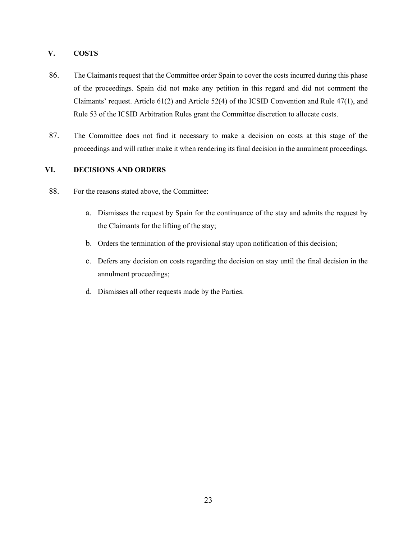# <span id="page-23-0"></span>**V. COSTS**

- 86. The Claimants request that the Committee order Spain to cover the costs incurred during this phase of the proceedings. Spain did not make any petition in this regard and did not comment the Claimants' request. Article 61(2) and Article 52(4) of the ICSID Convention and Rule 47(1), and Rule 53 of the ICSID Arbitration Rules grant the Committee discretion to allocate costs.
- 87. The Committee does not find it necessary to make a decision on costs at this stage of the proceedings and will rather make it when rendering its final decision in the annulment proceedings.

# <span id="page-23-1"></span>**VI. DECISIONS AND ORDERS**

- 88. For the reasons stated above, the Committee:
	- a. Dismisses the request by Spain for the continuance of the stay and admits the request by the Claimants for the lifting of the stay;
	- b. Orders the termination of the provisional stay upon notification of this decision;
	- c. Defers any decision on costs regarding the decision on stay until the final decision in the annulment proceedings;
	- d. Dismisses all other requests made by the Parties.